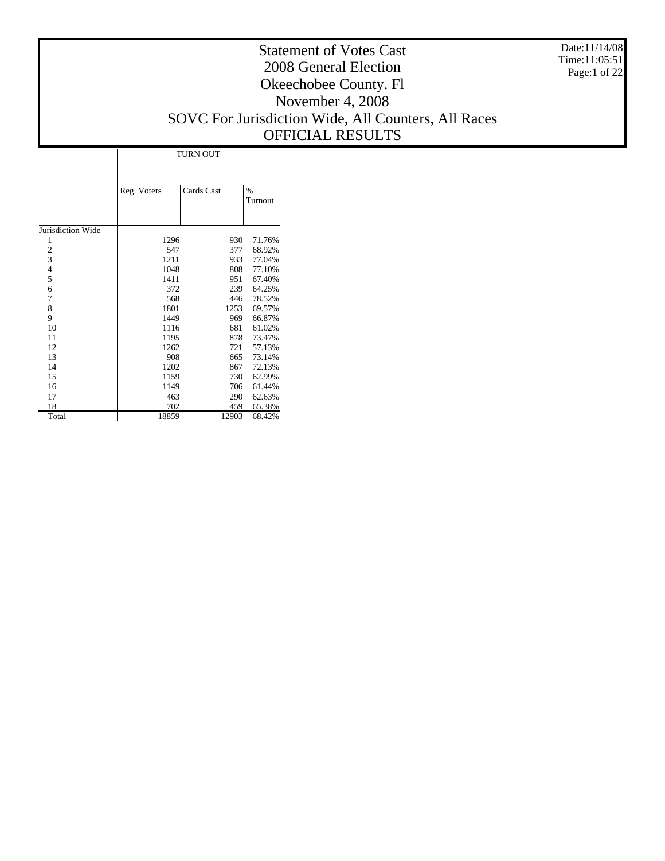Date:11/14/08 Time:11:05:51 Page:1 of 22

#### Statement of Votes Cast 2008 General Election Okeechobee County. Fl November 4, 2008 SOVC For Jurisdiction Wide, All Counters, All Races OFFICIAL RESULTS

|                   |             | <b>TURN OUT</b> |                 |  |  |  |  |  |  |
|-------------------|-------------|-----------------|-----------------|--|--|--|--|--|--|
|                   | Reg. Voters | Cards Cast      | $\%$<br>Turnout |  |  |  |  |  |  |
| Jurisdiction Wide |             |                 |                 |  |  |  |  |  |  |
| 1                 | 1296        | 930             | 71.76%          |  |  |  |  |  |  |
|                   | 547         | 377             | 68.92%          |  |  |  |  |  |  |
| $\frac{2}{3}$     | 1211        | 933             | 77.04%          |  |  |  |  |  |  |
| $\overline{4}$    | 1048        | 808             | 77.10%          |  |  |  |  |  |  |
| 5                 | 1411        | 951             | 67.40%          |  |  |  |  |  |  |
| 6                 | 372         | 239             | 64.25%          |  |  |  |  |  |  |
| 7                 | 568         | 446             | 78.52%          |  |  |  |  |  |  |
| 8                 | 1801        | 1253            | 69.57%          |  |  |  |  |  |  |
| 9                 | 1449        | 969             | 66.87%          |  |  |  |  |  |  |
| 10                | 1116        | 681             | 61.02%          |  |  |  |  |  |  |
| 11                | 1195        | 878             | 73.47%          |  |  |  |  |  |  |
| 12                | 1262        | 721             | 57.13%          |  |  |  |  |  |  |
| 13                | 908         | 665             | 73.14%          |  |  |  |  |  |  |
| 14                | 1202        | 867             | 72.13%          |  |  |  |  |  |  |
| 15                | 1159        | 730             | 62.99%          |  |  |  |  |  |  |
| 16                | 1149        | 706             | 61.44%          |  |  |  |  |  |  |
| 17                | 463         | 290             | 62.63%          |  |  |  |  |  |  |
| 18                | 702         | 459             | 65.38%          |  |  |  |  |  |  |
| Total             | 18859       | 12903           | 68.42%          |  |  |  |  |  |  |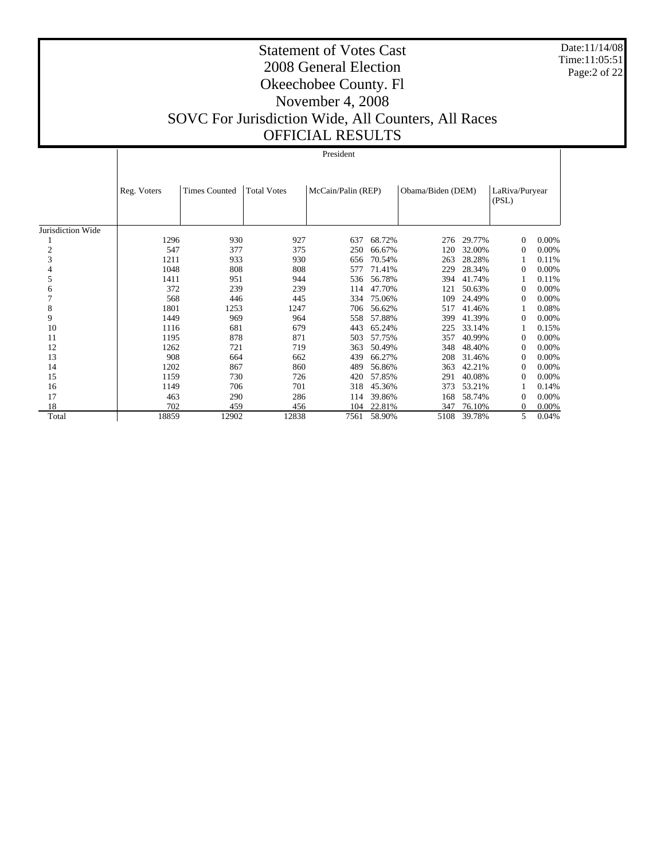Date:11/14/08 Time:11:05:51 Page:2 of 22

|                   |             |                      |                    | President          |        |                   |        |                         |       |
|-------------------|-------------|----------------------|--------------------|--------------------|--------|-------------------|--------|-------------------------|-------|
|                   | Reg. Voters | <b>Times Counted</b> | <b>Total Votes</b> | McCain/Palin (REP) |        | Obama/Biden (DEM) |        | LaRiva/Puryear<br>(PSL) |       |
| Jurisdiction Wide |             |                      |                    |                    |        |                   |        |                         |       |
|                   | 1296        | 930                  | 927                | 637                | 68.72% | 276               | 29.77% | $\Omega$                | 0.00% |
| 2                 | 547         | 377                  | 375                | 250                | 66.67% | 120               | 32.00% | 0                       | 0.00% |
| 3                 | 1211        | 933                  | 930                | 656                | 70.54% | 263               | 28.28% |                         | 0.11% |
|                   | 1048        | 808                  | 808                | 577                | 71.41% | 229               | 28.34% | $\Omega$                | 0.00% |
| 5                 | 1411        | 951                  | 944                | 536                | 56.78% | 394               | 41.74% |                         | 0.11% |
| 6                 | 372         | 239                  | 239                | 114                | 47.70% | 121               | 50.63% | $\Omega$                | 0.00% |
|                   | 568         | 446                  | 445                | 334                | 75.06% | 109               | 24.49% | $\Omega$                | 0.00% |
| 8                 | 1801        | 1253                 | 1247               | 706                | 56.62% | 517               | 41.46% |                         | 0.08% |
| 9                 | 1449        | 969                  | 964                | 558                | 57.88% | 399               | 41.39% | $\Omega$                | 0.00% |
| 10                | 1116        | 681                  | 679                | 443                | 65.24% | 225               | 33.14% |                         | 0.15% |
| 11                | 1195        | 878                  | 871                | 503                | 57.75% | 357               | 40.99% | $\Omega$                | 0.00% |
| 12                | 1262        | 721                  | 719                | 363                | 50.49% | 348               | 48.40% | $\Omega$                | 0.00% |
| 13                | 908         | 664                  | 662                | 439                | 66.27% | 208               | 31.46% | $\Omega$                | 0.00% |
| 14                | 1202        | 867                  | 860                | 489                | 56.86% | 363               | 42.21% | $\Omega$                | 0.00% |
| 15                | 1159        | 730                  | 726                | 420                | 57.85% | 291               | 40.08% | $\Omega$                | 0.00% |
| 16                | 1149        | 706                  | 701                | 318                | 45.36% | 373               | 53.21% |                         | 0.14% |
| 17                | 463         | 290                  | 286                | 114                | 39.86% | 168               | 58.74% | $\Omega$                | 0.00% |
| 18                | 702         | 459                  | 456                | 104                | 22.81% | 347               | 76.10% | $\theta$                | 0.00% |
| Total             | 18859       | 12902                | 12838              | 7561               | 58.90% | 5108              | 39.78% | 5                       | 0.04% |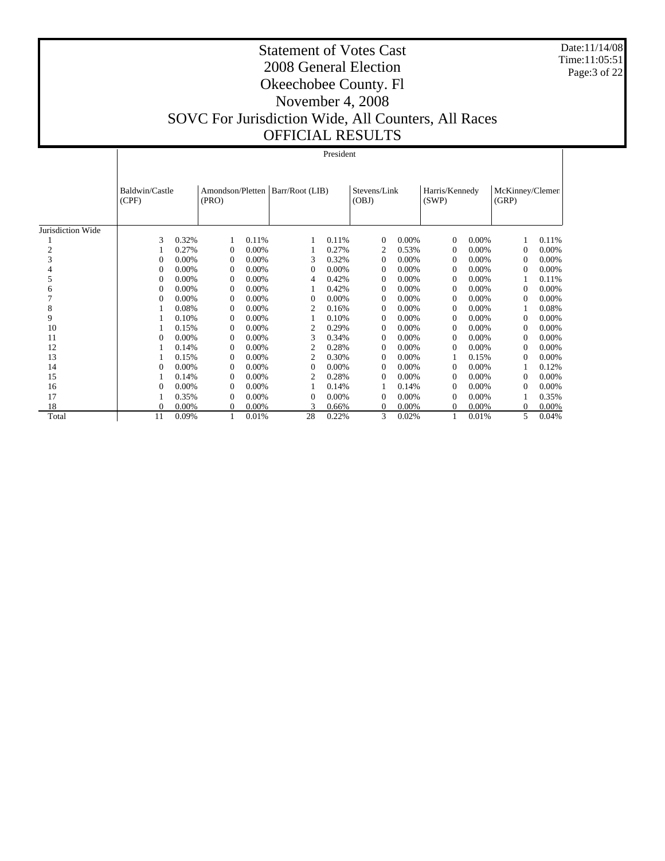Date:11/14/08 Time:11:05:51 Page:3 of 22

|                   |                         | President |                                             |          |                |          |                       |          |                         |          |                          |       |
|-------------------|-------------------------|-----------|---------------------------------------------|----------|----------------|----------|-----------------------|----------|-------------------------|----------|--------------------------|-------|
|                   | Baldwin/Castle<br>(CPF) |           | Amondson/Pletten   Barr/Root (LIB)<br>(PRO) |          |                |          | Stevens/Link<br>(OBJ) |          | Harris/Kennedy<br>(SWP) |          | McKinney/Clemen<br>(GRP) |       |
| Jurisdiction Wide |                         |           |                                             |          |                |          |                       |          |                         |          |                          |       |
|                   | 3                       | 0.32%     |                                             | 0.11%    |                | 0.11%    | $\Omega$              | $0.00\%$ | $\Omega$                | 0.00%    |                          | 0.11% |
| 2                 |                         | 0.27%     | $\Omega$                                    | 0.00%    |                | 0.27%    | 2                     | 0.53%    | $\Omega$                | $0.00\%$ | $\Omega$                 | 0.00% |
| 3                 | 0                       | 0.00%     | $\Omega$                                    | 0.00%    | 3              | 0.32%    | $\Omega$              | 0.00%    | $\Omega$                | 0.00%    | $\Omega$                 | 0.00% |
|                   | $\theta$                | 0.00%     | $\Omega$                                    | 0.00%    | $\Omega$       | $0.00\%$ | $\Omega$              | 0.00%    | $\Omega$                | 0.00%    | $\Omega$                 | 0.00% |
| 5                 | $\theta$                | $0.00\%$  | $\Omega$                                    | 0.00%    | 4              | 0.42%    | $\Omega$              | $0.00\%$ | $\Omega$                | 0.00%    |                          | 0.11% |
| 6                 | 0                       | 0.00%     | $\Omega$                                    | 0.00%    |                | 0.42%    | $\Omega$              | 0.00%    | $\Omega$                | 0.00%    | $\overline{0}$           | 0.00% |
|                   | 0                       | $0.00\%$  | $\Omega$                                    | 0.00%    | $\Omega$       | $0.00\%$ | $\Omega$              | $0.00\%$ | $\Omega$                | 0.00%    | $\Omega$                 | 0.00% |
| 8                 |                         | 0.08%     | $\Omega$                                    | 0.00%    | 2              | 0.16%    | $\Omega$              | $0.00\%$ | $\Omega$                | 0.00%    |                          | 0.08% |
| 9                 |                         | 0.10%     | $\Omega$                                    | $0.00\%$ |                | 0.10%    | $\Omega$              | $0.00\%$ | $\Omega$                | $0.00\%$ | $\Omega$                 | 0.00% |
| 10                |                         | 0.15%     | $\Omega$                                    | 0.00%    | $\overline{c}$ | 0.29%    | $\Omega$              | $0.00\%$ | $\Omega$                | 0.00%    | $\Omega$                 | 0.00% |
| 11                | $\theta$                | 0.00%     | $\Omega$                                    | 0.00%    | 3              | 0.34%    | $\Omega$              | $0.00\%$ | $\Omega$                | 0.00%    | $\Omega$                 | 0.00% |
| 12                |                         | 0.14%     | $\Omega$                                    | 0.00%    | 2              | 0.28%    | $\Omega$              | $0.00\%$ | $\Omega$                | $0.00\%$ | $\Omega$                 | 0.00% |
| 13                |                         | 0.15%     | $\Omega$                                    | 0.00%    | 2              | 0.30%    | $\Omega$              | 0.00%    |                         | 0.15%    | $\Omega$                 | 0.00% |
| 14                | $\theta$                | 0.00%     | $\Omega$                                    | 0.00%    | $\Omega$       | 0.00%    | $\Omega$              | 0.00%    | $\Omega$                | 0.00%    |                          | 0.12% |
| 15                |                         | 0.14%     | $\Omega$                                    | 0.00%    | $\overline{2}$ | 0.28%    | $\Omega$              | $0.00\%$ | $\Omega$                | $0.00\%$ | $\Omega$                 | 0.00% |
| 16                | 0                       | 0.00%     | $\Omega$                                    | 0.00%    |                | 0.14%    |                       | 0.14%    | $\Omega$                | 0.00%    | $\Omega$                 | 0.00% |
| 17                |                         | 0.35%     | $\Omega$                                    | 0.00%    | $\Omega$       | $0.00\%$ | $\Omega$              | $0.00\%$ | $\Omega$                | 0.00%    |                          | 0.35% |
| 18                | $\theta$                | 0.00%     | $\theta$                                    | 0.00%    |                | 0.66%    | $\Omega$              | 0.00%    | $\Omega$                | 0.00%    | $\overline{0}$           | 0.00% |
| Total             | 11                      | 0.09%     |                                             | 0.01%    | 28             | 0.22%    | 3                     | 0.02%    |                         | 0.01%    | 5.                       | 0.04% |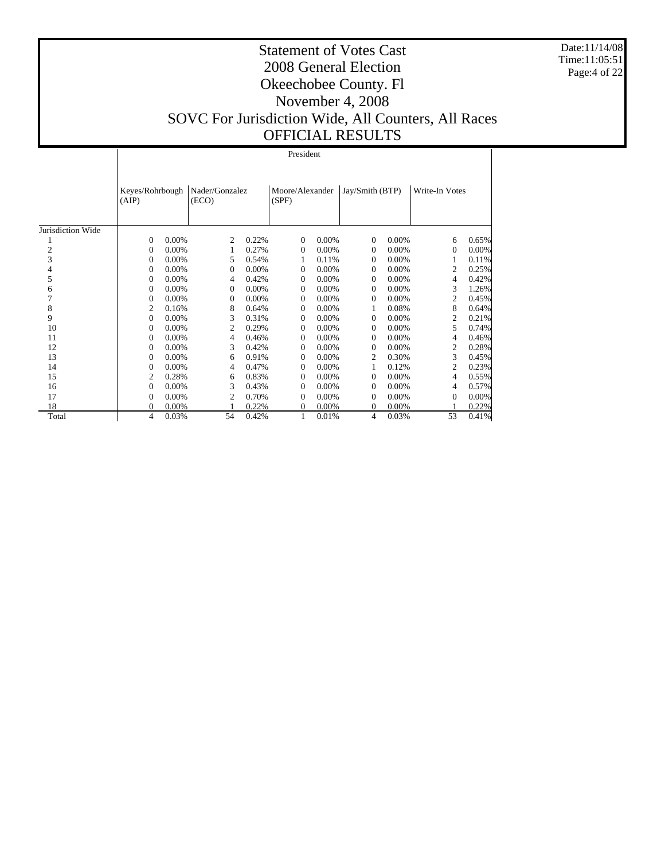Date:11/14/08 Time:11:05:51 Page:4 of 22

|                   |                          | President |                         |       |                          |          |                 |       |                |          |  |  |
|-------------------|--------------------------|-----------|-------------------------|-------|--------------------------|----------|-----------------|-------|----------------|----------|--|--|
|                   | Keyes/Rohrbough<br>(AIP) |           | Nader/Gonzalez<br>(ECO) |       | Moore/Alexander<br>(SPF) |          | Jay/Smith (BTP) |       | Write-In Votes |          |  |  |
| Jurisdiction Wide |                          |           |                         |       |                          |          |                 |       |                |          |  |  |
|                   | $\mathbf{0}$             | 0.00%     | $\overline{c}$          | 0.22% | $\Omega$                 | 0.00%    | $\Omega$        | 0.00% | 6              | 0.65%    |  |  |
| $\overline{c}$    | 0                        | 0.00%     | 1                       | 0.27% | 0                        | $0.00\%$ | 0               | 0.00% | $\theta$       | $0.00\%$ |  |  |
| 3                 | 0                        | 0.00%     | 5                       | 0.54% |                          | 0.11%    | 0               | 0.00% | 1              | 0.11%    |  |  |
| 4                 | 0                        | 0.00%     | $\Omega$                | 0.00% | $\Omega$                 | $0.00\%$ | $\Omega$        | 0.00% | $\overline{c}$ | 0.25%    |  |  |
| 5                 | 0                        | 0.00%     | 4                       | 0.42% | 0                        | 0.00%    | $\Omega$        | 0.00% | 4              | 0.42%    |  |  |
| 6                 | 0                        | 0.00%     | $\mathbf{0}$            | 0.00% | $\Omega$                 | $0.00\%$ | $\Omega$        | 0.00% | 3              | 1.26%    |  |  |
| 7                 | 0                        | 0.00%     | $\Omega$                | 0.00% | $\Omega$                 | 0.00%    | $\Omega$        | 0.00% | $\overline{c}$ | 0.45%    |  |  |
| 8                 | $\overline{c}$           | 0.16%     | 8                       | 0.64% | $\mathbf{0}$             | 0.00%    | 1               | 0.08% | 8              | 0.64%    |  |  |
| 9                 | 0                        | $0.00\%$  | 3                       | 0.31% | $\Omega$                 | $0.00\%$ | $\Omega$        | 0.00% | 2              | 0.21%    |  |  |
| 10                | 0                        | 0.00%     | 2                       | 0.29% | $\Omega$                 | $0.00\%$ | $\Omega$        | 0.00% | 5              | 0.74%    |  |  |
| 11                | $\boldsymbol{0}$         | 0.00%     | 4                       | 0.46% | $\mathbf{0}$             | 0.00%    | $\Omega$        | 0.00% | 4              | 0.46%    |  |  |
| 12                | 0                        | $0.00\%$  | 3                       | 0.42% | $\Omega$                 | $0.00\%$ | $\Omega$        | 0.00% | 2              | 0.28%    |  |  |
| 13                | 0                        | 0.00%     | 6                       | 0.91% | $\Omega$                 | $0.00\%$ | 2               | 0.30% | 3              | 0.45%    |  |  |
| 14                | $\boldsymbol{0}$         | 0.00%     | 4                       | 0.47% | 0                        | $0.00\%$ | 1               | 0.12% | $\overline{c}$ | 0.23%    |  |  |
| 15                | $\overline{c}$           | 0.28%     | 6                       | 0.83% | $\Omega$                 | $0.00\%$ | $\Omega$        | 0.00% | 4              | 0.55%    |  |  |
| 16                | $\boldsymbol{0}$         | 0.00%     | 3                       | 0.43% | $\Omega$                 | $0.00\%$ | $\Omega$        | 0.00% | 4              | 0.57%    |  |  |
| 17                | 0                        | 0.00%     | $\overline{c}$          | 0.70% | $\Omega$                 | 0.00%    | $\Omega$        | 0.00% | $\overline{0}$ | $0.00\%$ |  |  |
| 18                | $\boldsymbol{0}$         | 0.00%     |                         | 0.22% | $\theta$                 | 0.00%    | $\Omega$        | 0.00% |                | 0.22%    |  |  |
| Total             | 4                        | 0.03%     | 54                      | 0.42% | 1                        | 0.01%    | 4               | 0.03% | 53             | 0.41%    |  |  |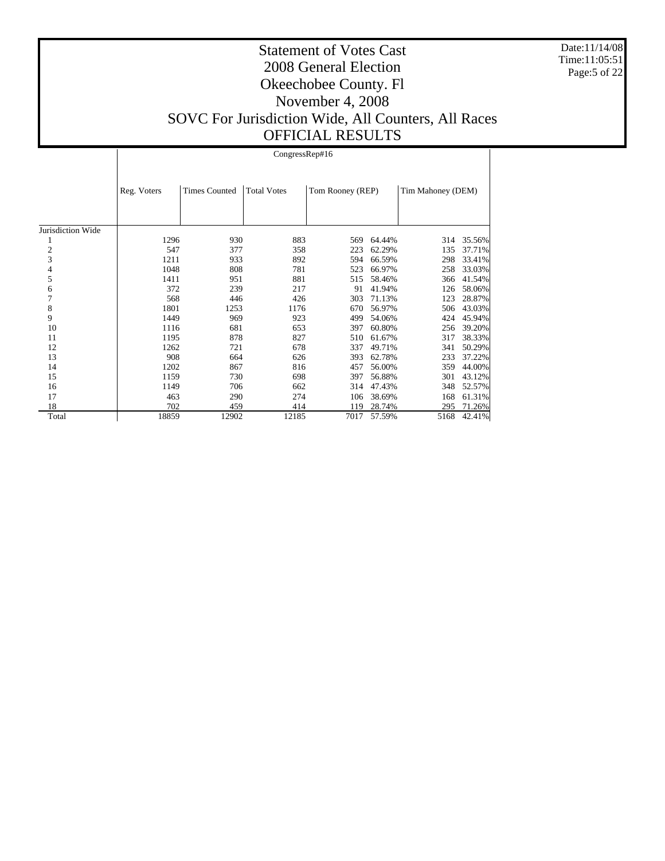Date:11/14/08 Time:11:05:51 Page:5 of 22

#### Statement of Votes Cast 2008 General Election Okeechobee County. Fl November 4, 2008 SOVC For Jurisdiction Wide, All Counters, All Races OFFICIAL RESULTS

Jurisdiction Wide 1 2 3 4 5 6 7 8 9 10 11 12 13 14 15 16 17 18 Total Reg. Voters Times Counted Total Votes Tom Rooney (REP) Tim Mahoney (DEM) CongressRep#16 1296 930 883 569 64.44% 314 35.56%<br>547 377 358 223 62.29% 135 37.71% 547 377 358 223 62.29% 135 37.71% 1211 933 892 594 66.59% 298 33.41%<br>1048 808 781 523 66.97% 258 33.03% 1048 808 781 523 66.97% 258 33.03% 1411 951 881 515 58.46% 366 41.54% 372 239 217 91 41.94% 126 58.06% 568 446 426 303 71.13% 123 28.87% 1801 1253 1176 670 56.97% 506 43.03%<br>1449 969 923 499 54.06% 424 45.94% 1149 969 923 499 54.06% 424 45.94%<br>1116 681 653 397 60.80% 256 39.20% 256 39.20% 1195 878 827 510 61.67% 317 38.33% 1262 721 678 337 49.71% 341 50.29% 908 664 626 393 62.78% 233 37.22% 1202 867 816 457 56.00% 359 44.00% 1159 730 698 397 56.88% 301 43.12%<br>1149 706 662 314 47.43% 348 52.57% 1149 706 662 314 47.43%<br>463 290 274 106 38.69% 463 290 274 106 38.69% 168 61.31%<br>
702 459 414 119 28.74% 295 71.26% 702 459 414 119 28.74% 295 71.26% 5168 42.41%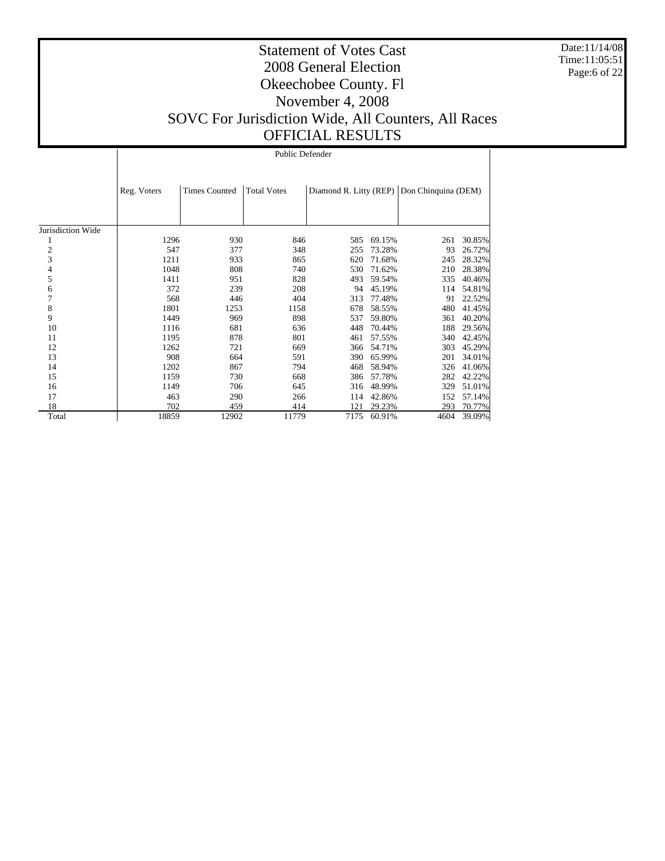Date:11/14/08 Time:11:05:51 Page:6 of 22

#### Statement of Votes Cast 2008 General Election Okeechobee County. Fl November 4, 2008 SOVC For Jurisdiction Wide, All Counters, All Races OFFICIAL RESULTS

Jurisdiction Wide 1 2 3 4 5 6 7 8 9 10 11 12 13 14 15 16 17 18 Total Reg. Voters Times Counted | Total Votes | Diamond R. Litty (REP) | Don Chinquina (DEM) Public Defender 1296 930 846 585 69.15% 261 30.85%<br>547 377 348 255 73.28% 93 26.72% 547 377 348 255 73.28% 93 26.72% 1211 933 865 620 71.68% 245 28.32%<br>1048 808 740 530 71.62% 210 28.38% 1048 808 740 530 71.62% 210 28.38% 1411 951 828 493 59.54% 335 40.46% 372 239 208 94 45.19% 114 54.81% 568 446 404 313 77.48% 91 22.52% 1801 1253 1158 678 58.55% 480 41.45%<br>1449 969 898 537 59.80% 361 40.20% 1149 969 898 537 59.80% 361 40.20%<br>1116 681 636 448 70.44% 188 29.56% 188 29.56% 1195 878 801 461 57.55% 340 42.45% 1262 721 669 366 54.71% 303 45.29%<br>908 664 591 390 65.99% 201 34.01% 908 664 591 390 65.99% 201 34.01% 1202 867 794 468 58.94% 326 41.06% 1159 730 668 386 57.78% 282 42.22%<br>1149 706 645 316 48.99% 329 51.01% 1149 706 645 316 48.99%<br>463 290 266 114 42.86% 463 290 266 114 42.86% 152 57.14%<br>
702 459 414 121 29.23% 293 70.77% 702 459 414 121 29.23% 293 70.77% 18859 12902 11779 7175 60.91% 4604 39.09%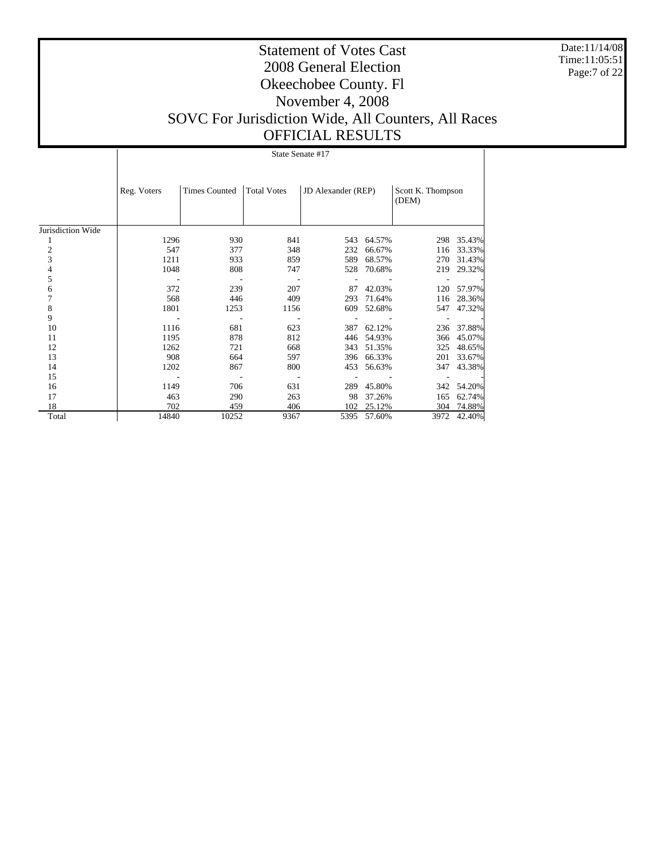Date:11/14/08 Time:11:05:51 Page:7 of 22

## Statement of Votes Cast 2008 General Election Okeechobee County. Fl November 4, 2008 SOVC For Jurisdiction Wide, All Counters, All Races OFFICIAL RESULTS

State Senate #17

|                   | Reg. Voters | <b>Times Counted</b> | <b>Total Votes</b> | <b>JD</b> Alexander (REP) |        | Scott K. Thompson<br>(DEM) |            |  |
|-------------------|-------------|----------------------|--------------------|---------------------------|--------|----------------------------|------------|--|
| Jurisdiction Wide |             |                      |                    |                           |        |                            |            |  |
|                   | 1296        | 930                  | 841                | 543                       | 64.57% | 298                        | 35.43%     |  |
| 2                 | 547         | 377                  | 348                | 232                       | 66.67% | 116                        | 33.33%     |  |
| 3                 | 1211        | 933                  | 859                | 589                       | 68.57% | 270                        | 31.43%     |  |
| 4                 | 1048        | 808                  | 747                | 528                       | 70.68% | 219                        | 29.32%     |  |
| 5                 |             |                      |                    |                           |        |                            |            |  |
| 6                 | 372         | 239                  | 207                | 87                        | 42.03% |                            | 120 57.97% |  |
| 7                 | 568         | 446                  | 409                | 293                       | 71.64% | 116                        | 28.36%     |  |
| 8                 | 1801        | 1253                 | 1156               | 609                       | 52.68% | 547                        | 47.32%     |  |
| 9                 |             |                      |                    |                           |        |                            |            |  |
| 10                | 1116        | 681                  | 623                | 387                       | 62.12% |                            | 236 37.88% |  |
| 11                | 1195        | 878                  | 812                | 446                       | 54.93% | 366                        | 45.07%     |  |
| 12                | 1262        | 721                  | 668                | 343                       | 51.35% | 325                        | 48.65%     |  |
| 13                | 908         | 664                  | 597                | 396                       | 66.33% | 201                        | 33.67%     |  |
| 14                | 1202        | 867                  | 800                | 453                       | 56.63% | 347                        | 43.38%     |  |
| 15                |             |                      |                    |                           |        |                            |            |  |
| 16                | 1149        | 706                  | 631                | 289                       | 45.80% | 342                        | 54.20%     |  |
| 17                | 463         | 290                  | 263                | 98                        | 37.26% | 165                        | 62.74%     |  |
| 18                | 702         | 459                  | 406                | 102                       | 25.12% | 304                        | 74.88%     |  |
| Total             | 14840       | 10252                | 9367               | 5395                      | 57.60% | 3972                       | 42.40%     |  |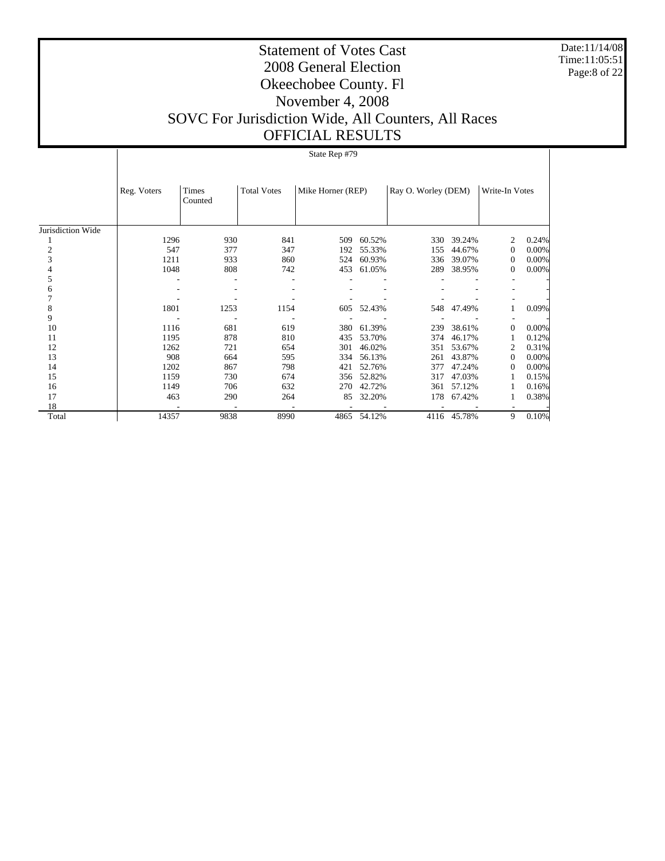Date:11/14/08 Time:11:05:51 Page:8 of 22

## Statement of Votes Cast 2008 General Election Okeechobee County. Fl November 4, 2008 SOVC For Jurisdiction Wide, All Counters, All Races

# OFFICIAL RESULTS

|                   |             |                  |                    | State Rep #79     |        |                     |        |                |          |
|-------------------|-------------|------------------|--------------------|-------------------|--------|---------------------|--------|----------------|----------|
|                   |             |                  |                    |                   |        |                     |        |                |          |
|                   | Reg. Voters | Times<br>Counted | <b>Total Votes</b> | Mike Horner (REP) |        | Ray O. Worley (DEM) |        | Write-In Votes |          |
| Jurisdiction Wide |             |                  |                    |                   |        |                     |        |                |          |
|                   | 1296        | 930              | 841                | 509               | 60.52% | 330                 | 39.24% | 2              | 0.24%    |
| 2                 | 547         | 377              | 347                | 192               | 55.33% | 155                 | 44.67% | $\theta$       | 0.00%    |
| 3                 | 1211        | 933              | 860                | 524               | 60.93% | 336                 | 39.07% | $\theta$       | 0.00%    |
|                   | 1048        | 808              | 742                | 453               | 61.05% | 289                 | 38.95% | $\mathbf{0}$   | $0.00\%$ |
| 5                 |             |                  |                    |                   |        |                     |        |                |          |
| 6                 |             |                  |                    |                   |        |                     |        |                |          |
|                   |             |                  |                    |                   |        |                     |        |                |          |
| 8                 | 1801        | 1253             | 1154               | 605               | 52.43% | 548                 | 47.49% |                | 0.09%    |
| 9                 |             |                  |                    |                   |        |                     |        |                |          |
| 10                | 1116        | 681              | 619                | 380               | 61.39% | 239                 | 38.61% | $\Omega$       | 0.00%    |
| 11                | 1195        | 878              | 810                | 435               | 53.70% | 374                 | 46.17% |                | 0.12%    |
| 12                | 1262        | 721              | 654                | 301               | 46.02% | 351                 | 53.67% | 2              | 0.31%    |
| 13                | 908         | 664              | 595                | 334               | 56.13% | 261                 | 43.87% | $\Omega$       | 0.00%    |
| 14                | 1202        | 867              | 798                | 421               | 52.76% | 377                 | 47.24% | 0              | 0.00%    |
| 15                | 1159        | 730              | 674                | 356               | 52.82% | 317                 | 47.03% |                | 0.15%    |
| 16                | 1149        | 706              | 632                | 270               | 42.72% | 361                 | 57.12% |                | 0.16%    |
| 17                | 463         | 290              | 264                | 85                | 32.20% | 178                 | 67.42% |                | 0.38%    |
| 18                |             |                  |                    |                   |        |                     |        |                |          |
| Total             | 14357       | 9838             | 8990               | 4865              | 54.12% | 4116                | 45.78% | 9              | 0.10%    |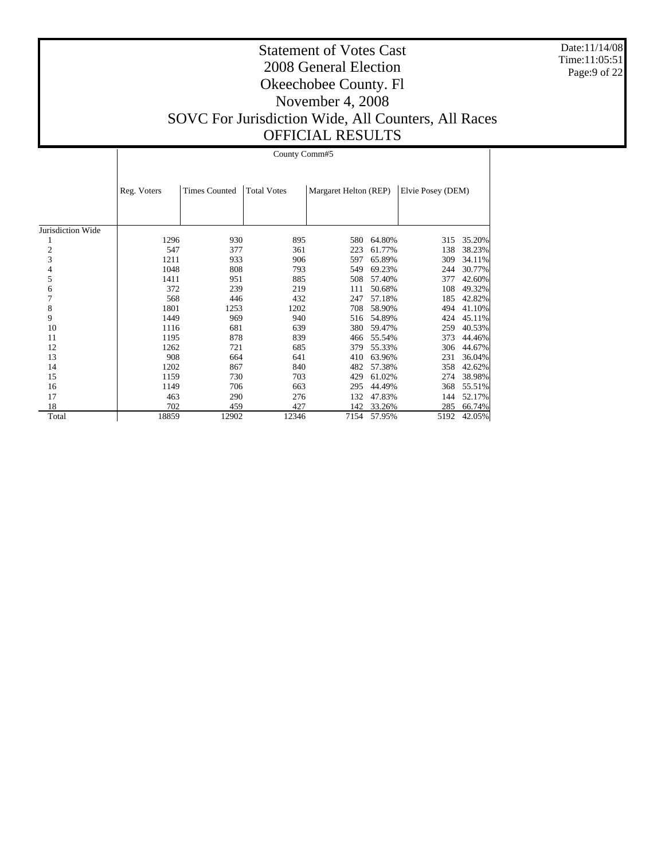Date:11/14/08 Time:11:05:51 Page:9 of 22

#### Statement of Votes Cast 2008 General Election Okeechobee County. Fl November 4, 2008 SOVC For Jurisdiction Wide, All Counters, All Races OFFICIAL RESULTS

Jurisdiction Wide 1 2 3 4 5 6 7 8 9 10 11 12 13 14 15 16 17 18 Total Reg. Voters | Times Counted | Total Votes | Margaret Helton (REP) | Elvie Posey (DEM) County Comm#5 1296 930 895 580 64.80% 315 35.20%<br>547 377 361 223 61.77% 138 38.23% 547 377 361 223 61.77%<br>1211 933 906 597 65.89%  $\begin{array}{ccccccccc} 1211 & & & 933 & & & 906 & & & 597 & 65.89\% & & & 309 & 34.11\% \\ 1048 & & & 808 & & & 793 & & & 549 & 69.23\% & & & 244 & 30.77\% \end{array}$ 1048 808 793 549 69.23% 244 30.77% 1411 951 885 508 57.40% 377 42.60% 372 239 219 111 50.68% 108 49.32%<br>568 446 432 247 57.18% 185 42.82% 568 446 432 247 57.18% 185 42.82% 1801 1253 1202 708 58.90% 494 41.10%<br>1449 969 940 516 54.89% 424 45.11% 1449 969 940 516 54.89% 424 45.11%<br>1116 681 639 380 59.47% 259 40.53% 380 59.47% 1195 878 839 466 55.54% 373 44.46%<br>1262 721 685 379 55.33% 306 44.67% 1262 721 685 379 55.33% 306 44.67% 908 664 641 410 63.96% 231 36.04% 1202 867 840 482 57.38% 358 42.62% 1159 730 703 429 61.02% 274 38.98%<br>1149 706 663 295 44.49% 368 55.51% 1149 706 663 295 44.49% 368 55.51%<br>463 290 276 132 47.83% 144 52.17% 463 290 276 132 47.83% 290 276 132 47.83% 702 459 427 142 33.26% 285 66.74% 5192 42.05%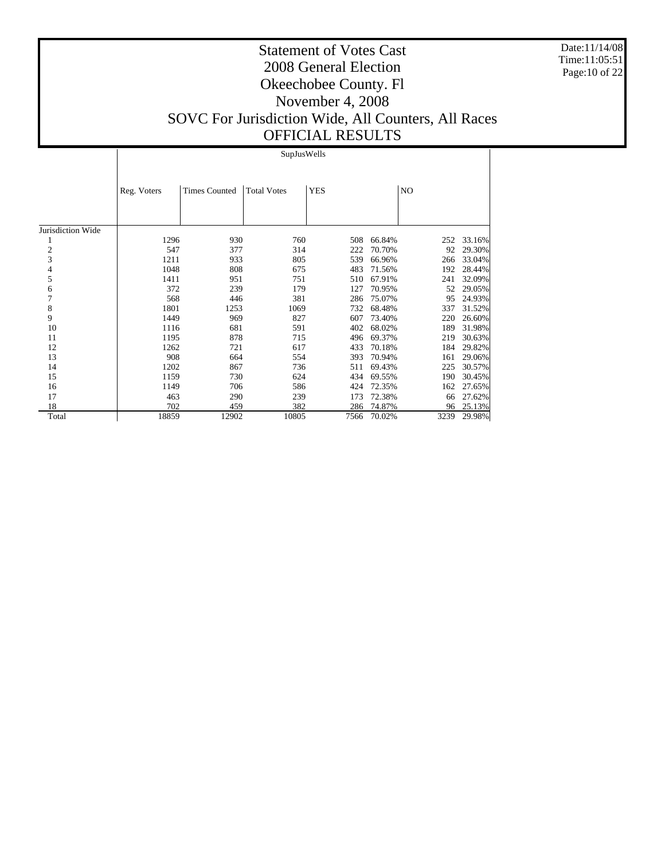Date:11/14/08 Time:11:05:51 Page:10 of 22

## Statement of Votes Cast 2008 General Election Okeechobee County. Fl November 4, 2008 SOVC For Jurisdiction Wide, All Counters, All Races OFFICIAL RESULTS

#### SupJusWells

|                   | Reg. Voters | <b>Times Counted</b> | <b>Total Votes</b> | <b>YES</b> |        | N <sub>O</sub> |        |
|-------------------|-------------|----------------------|--------------------|------------|--------|----------------|--------|
|                   |             |                      |                    |            |        |                |        |
| Jurisdiction Wide |             |                      |                    |            |        |                |        |
|                   | 1296        | 930                  | 760                | 508        | 66.84% | 252            | 33.16% |
| $\overline{c}$    | 547         | 377                  | 314                | 222        | 70.70% | 92             | 29.30% |
| 3                 | 1211        | 933                  | 805                | 539        | 66.96% | 266            | 33.04% |
| 4                 | 1048        | 808                  | 675                | 483        | 71.56% | 192            | 28.44% |
| 5                 | 1411        | 951                  | 751                | 510        | 67.91% | 241            | 32.09% |
| 6                 | 372         | 239                  | 179                | 127        | 70.95% | 52             | 29.05% |
| 7                 | 568         | 446                  | 381                | 286        | 75.07% | 95             | 24.93% |
| 8                 | 1801        | 1253                 | 1069               | 732        | 68.48% | 337            | 31.52% |
| 9                 | 1449        | 969                  | 827                | 607        | 73.40% | 220            | 26.60% |
| 10                | 1116        | 681                  | 591                | 402        | 68.02% | 189            | 31.98% |
| 11                | 1195        | 878                  | 715                | 496        | 69.37% | 219            | 30.63% |
| 12                | 1262        | 721                  | 617                | 433        | 70.18% | 184            | 29.82% |
| 13                | 908         | 664                  | 554                | 393        | 70.94% | 161            | 29.06% |
| 14                | 1202        | 867                  | 736                | 511        | 69.43% | 225            | 30.57% |
| 15                | 1159        | 730                  | 624                | 434        | 69.55% | 190            | 30.45% |
| 16                | 1149        | 706                  | 586                | 424        | 72.35% | 162            | 27.65% |
| 17                | 463         | 290                  | 239                | 173        | 72.38% | 66             | 27.62% |
| 18                | 702         | 459                  | 382                | 286        | 74.87% | 96             | 25.13% |
| Total             | 18859       | 12902                | 10805              | 7566       | 70.02% | 3239           | 29.98% |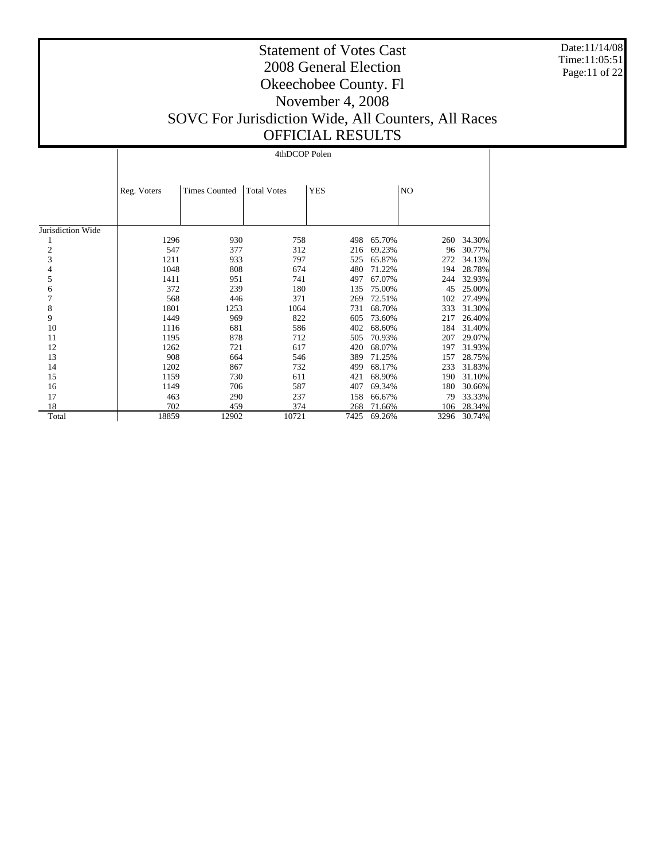Date:11/14/08 Time:11:05:51 Page:11 of 22

 $\mathbf{I}$ 

#### Statement of Votes Cast 2008 General Election Okeechobee County. Fl November 4, 2008 SOVC For Jurisdiction Wide, All Counters, All Races OFFICIAL RESULTS

## 4thDCOP Polen

|                   | Reg. Voters | <b>Times Counted</b> | <b>Total Votes</b> | <b>YES</b> |        | N <sub>O</sub> |        |
|-------------------|-------------|----------------------|--------------------|------------|--------|----------------|--------|
|                   |             |                      |                    |            |        |                |        |
| Jurisdiction Wide |             |                      |                    |            |        |                |        |
|                   | 1296        | 930                  | 758                | 498        | 65.70% | 260            | 34.30% |
| $\overline{c}$    | 547         | 377                  | 312                | 216        | 69.23% | 96             | 30.77% |
| 3                 | 1211        | 933                  | 797                | 525        | 65.87% | 272            | 34.13% |
| 4                 | 1048        | 808                  | 674                | 480        | 71.22% | 194            | 28.78% |
| 5                 | 1411        | 951                  | 741                | 497        | 67.07% | 244            | 32.93% |
| 6                 | 372         | 239                  | 180                | 135        | 75.00% | 45             | 25.00% |
| 7                 | 568         | 446                  | 371                | 269        | 72.51% | 102            | 27.49% |
| 8                 | 1801        | 1253                 | 1064               | 731        | 68.70% | 333            | 31.30% |
| 9                 | 1449        | 969                  | 822                | 605        | 73.60% | 217            | 26.40% |
| 10                | 1116        | 681                  | 586                | 402        | 68.60% | 184            | 31.40% |
| 11                | 1195        | 878                  | 712                | 505        | 70.93% | 207            | 29.07% |
| 12                | 1262        | 721                  | 617                | 420        | 68.07% | 197            | 31.93% |
| 13                | 908         | 664                  | 546                | 389        | 71.25% | 157            | 28.75% |
| 14                | 1202        | 867                  | 732                | 499        | 68.17% | 233            | 31.83% |
| 15                | 1159        | 730                  | 611                | 421        | 68.90% | 190            | 31.10% |
| 16                | 1149        | 706                  | 587                | 407        | 69.34% | 180            | 30.66% |
| 17                | 463         | 290                  | 237                | 158        | 66.67% | 79             | 33.33% |
| 18                | 702         | 459                  | 374                | 268        | 71.66% | 106            | 28.34% |
| Total             | 18859       | 12902                | 10721              | 7425       | 69.26% | 3296           | 30.74% |

 $\overline{1}$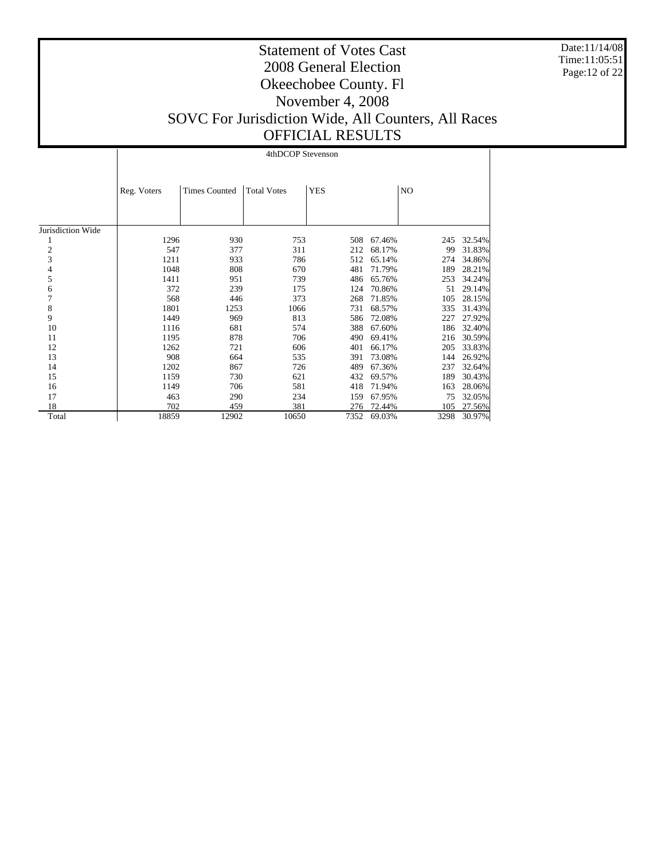Date:11/14/08 Time:11:05:51 Page:12 of 22

|                   |             |                      | 4thDCOP Stevenson  |            |        |                |        |
|-------------------|-------------|----------------------|--------------------|------------|--------|----------------|--------|
|                   | Reg. Voters | <b>Times Counted</b> | <b>Total Votes</b> | <b>YES</b> |        | N <sub>O</sub> |        |
| Jurisdiction Wide |             |                      |                    |            |        |                |        |
| 1                 | 1296        | 930                  | 753                | 508        | 67.46% | 245            | 32.54% |
| $\overline{c}$    | 547         | 377                  | 311                | 212        | 68.17% | 99             | 31.83% |
| 3                 | 1211        | 933                  | 786                | 512        | 65.14% | 274            | 34.86% |
| 4                 | 1048        | 808                  | 670                | 481        | 71.79% | 189            | 28.21% |
| 5                 | 1411        | 951                  | 739                | 486        | 65.76% | 253            | 34.24% |
| 6                 | 372         | 239                  | 175                | 124        | 70.86% | 51             | 29.14% |
| 7                 | 568         | 446                  | 373                | 268        | 71.85% | 105            | 28.15% |
| 8                 | 1801        | 1253                 | 1066               | 731        | 68.57% | 335            | 31.43% |
| 9                 | 1449        | 969                  | 813                | 586        | 72.08% | 227            | 27.92% |
| 10                | 1116        | 681                  | 574                | 388        | 67.60% | 186            | 32.40% |
| 11                | 1195        | 878                  | 706                | 490        | 69.41% | 216            | 30.59% |
| 12                | 1262        | 721                  | 606                | 401        | 66.17% | 205            | 33.83% |
| 13                | 908         | 664                  | 535                | 391        | 73.08% | 144            | 26.92% |
| 14                | 1202        | 867                  | 726                | 489        | 67.36% | 237            | 32.64% |
| 15                | 1159        | 730                  | 621                | 432        | 69.57% | 189            | 30.43% |
| 16                | 1149        | 706                  | 581                | 418        | 71.94% | 163            | 28.06% |
| 17                | 463         | 290                  | 234                | 159        | 67.95% | 75             | 32.05% |
| 18                | 702         | 459                  | 381                | 276        | 72.44% | 105            | 27.56% |
| Total             | 18859       | 12902                | 10650              | 7352       | 69.03% | 3298           | 30.97% |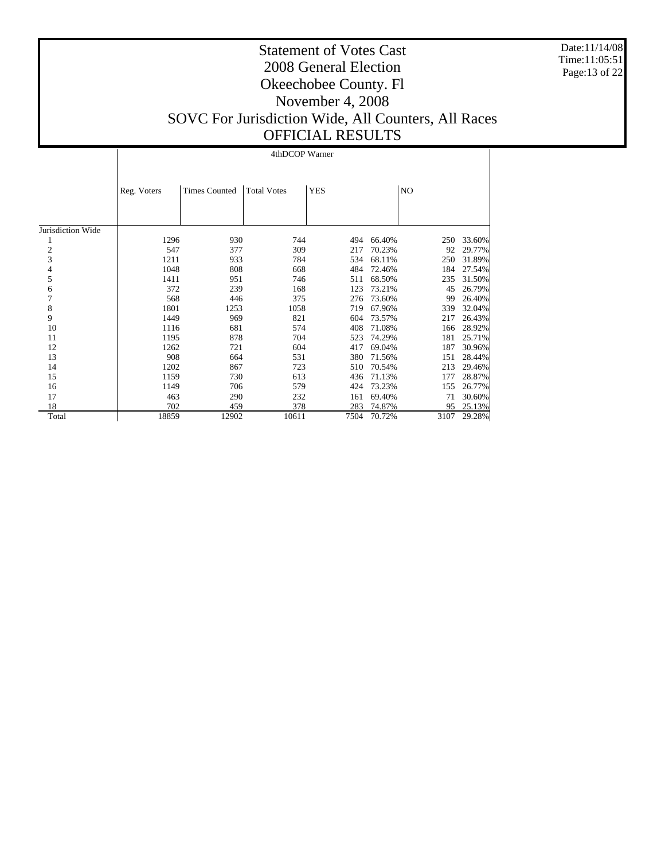Date:11/14/08 Time:11:05:51 Page:13 of 22

|                   |             |                      | 4thDCOP Warner     |            |        |      |        |
|-------------------|-------------|----------------------|--------------------|------------|--------|------|--------|
|                   | Reg. Voters | <b>Times Counted</b> | <b>Total Votes</b> | <b>YES</b> |        | NO   |        |
| Jurisdiction Wide |             |                      |                    |            |        |      |        |
| 1                 | 1296        | 930                  | 744                | 494        | 66.40% | 250  | 33.60% |
| 2                 | 547         | 377                  | 309                | 217        | 70.23% | 92   | 29.77% |
| 3                 | 1211        | 933                  | 784                | 534        | 68.11% | 250  | 31.89% |
| 4                 | 1048        | 808                  | 668                | 484        | 72.46% | 184  | 27.54% |
| 5                 | 1411        | 951                  | 746                | 511        | 68.50% | 235  | 31.50% |
| 6                 | 372         | 239                  | 168                | 123        | 73.21% | 45   | 26.79% |
| 7                 | 568         | 446                  | 375                | 276        | 73.60% | 99   | 26.40% |
| 8                 | 1801        | 1253                 | 1058               | 719        | 67.96% | 339  | 32.04% |
| 9                 | 1449        | 969                  | 821                | 604        | 73.57% | 217  | 26.43% |
| 10                | 1116        | 681                  | 574                | 408        | 71.08% | 166  | 28.92% |
| 11                | 1195        | 878                  | 704                | 523        | 74.29% | 181  | 25.71% |
| 12                | 1262        | 721                  | 604                | 417        | 69.04% | 187  | 30.96% |
| 13                | 908         | 664                  | 531                | 380        | 71.56% | 151  | 28.44% |
| 14                | 1202        | 867                  | 723                | 510        | 70.54% | 213  | 29.46% |
| 15                | 1159        | 730                  | 613                | 436        | 71.13% | 177  | 28.87% |
| 16                | 1149        | 706                  | 579                | 424        | 73.23% | 155  | 26.77% |
| 17                | 463         | 290                  | 232                | 161        | 69.40% | 71   | 30.60% |
| 18                | 702         | 459                  | 378                | 283        | 74.87% | 95   | 25.13% |
| Total             | 18859       | 12902                | 10611              | 7504       | 70.72% | 3107 | 29.28% |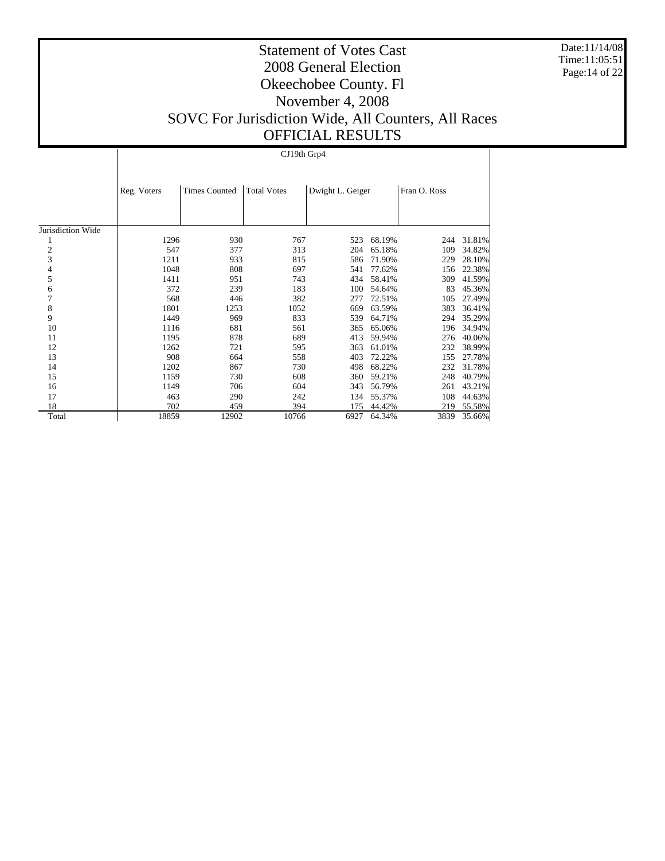Date:11/14/08 Time:11:05:51 Page:14 of 22

## Statement of Votes Cast 2008 General Election Okeechobee County. Fl November 4, 2008 SOVC For Jurisdiction Wide, All Counters, All Races OFFICIAL RESULTS

CJ19th Grp4

|                         | Reg. Voters | <b>Times Counted</b> | <b>Total Votes</b> | Dwight L. Geiger |        | Fran O. Ross |        |
|-------------------------|-------------|----------------------|--------------------|------------------|--------|--------------|--------|
|                         |             |                      |                    |                  |        |              |        |
| Jurisdiction Wide       |             |                      |                    |                  |        |              |        |
|                         | 1296        | 930                  | 767                | 523              | 68.19% | 244          | 31.81% |
| $\overline{\mathbf{c}}$ | 547         | 377                  | 313                | 204              | 65.18% | 109          | 34.82% |
| 3                       | 1211        | 933                  | 815                | 586              | 71.90% | 229          | 28.10% |
| 4                       | 1048        | 808                  | 697                | 541              | 77.62% | 156          | 22.38% |
| 5                       | 1411        | 951                  | 743                | 434              | 58.41% | 309          | 41.59% |
| 6                       | 372         | 239                  | 183                | 100              | 54.64% | 83           | 45.36% |
| 7                       | 568         | 446                  | 382                | 277              | 72.51% | 105          | 27.49% |
| 8                       | 1801        | 1253                 | 1052               | 669              | 63.59% | 383          | 36.41% |
| 9                       | 1449        | 969                  | 833                | 539              | 64.71% | 294          | 35.29% |
| 10                      | 1116        | 681                  | 561                | 365              | 65.06% | 196          | 34.94% |
| 11                      | 1195        | 878                  | 689                | 413              | 59.94% | 276          | 40.06% |
| 12                      | 1262        | 721                  | 595                | 363              | 61.01% | 232          | 38.99% |
| 13                      | 908         | 664                  | 558                | 403              | 72.22% | 155          | 27.78% |
| 14                      | 1202        | 867                  | 730                | 498              | 68.22% | 232          | 31.78% |
| 15                      | 1159        | 730                  | 608                | 360              | 59.21% | 248          | 40.79% |
| 16                      | 1149        | 706                  | 604                | 343              | 56.79% | 261          | 43.21% |
| 17                      | 463         | 290                  | 242                | 134              | 55.37% | 108          | 44.63% |
| 18                      | 702         | 459                  | 394                | 175              | 44.42% | 219          | 55.58% |
| Total                   | 18859       | 12902                | 10766              | 6927             | 64.34% | 3839         | 35.66% |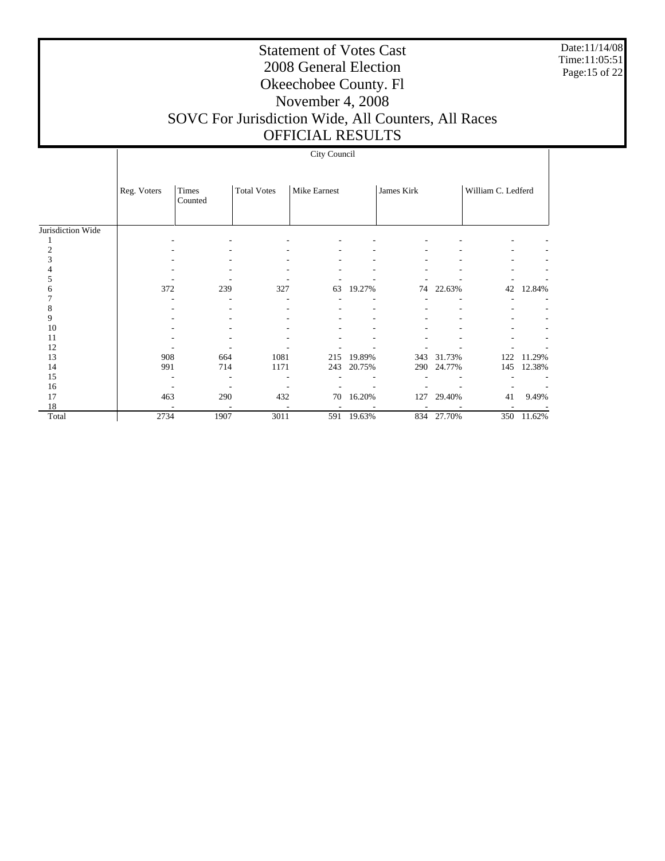Date:11/14/08 Time:11:05:51 Page:15 of 22

## Statement of Votes Cast 2008 General Election Okeechobee County. Fl November 4, 2008 SOVC For Jurisdiction Wide, All Counters, All Races

## OFFICIAL RESULTS

|                   | City Council |                  |                    |              |        |            |            |                    |        |  |  |
|-------------------|--------------|------------------|--------------------|--------------|--------|------------|------------|--------------------|--------|--|--|
|                   | Reg. Voters  | Times<br>Counted | <b>Total Votes</b> | Mike Earnest |        | James Kirk |            | William C. Ledferd |        |  |  |
| Jurisdiction Wide |              |                  |                    |              |        |            |            |                    |        |  |  |
|                   |              |                  |                    |              |        |            |            |                    |        |  |  |
|                   |              |                  |                    |              |        |            |            |                    |        |  |  |
|                   |              |                  |                    |              |        |            |            |                    |        |  |  |
|                   |              |                  |                    |              |        |            |            |                    |        |  |  |
|                   |              |                  |                    |              |        |            |            |                    |        |  |  |
|                   | 372          | 239              | 327                | 63           | 19.27% |            | 74 22.63%  | 42                 | 12.84% |  |  |
|                   |              |                  |                    |              |        |            |            |                    |        |  |  |
|                   |              |                  |                    |              |        |            |            |                    |        |  |  |
| 9                 |              |                  |                    |              |        |            |            |                    |        |  |  |
| 10                |              |                  |                    |              |        |            |            |                    |        |  |  |
| 11                |              |                  |                    |              |        |            |            |                    |        |  |  |
| 12                |              |                  |                    |              |        |            |            |                    |        |  |  |
| 13                | 908          | 664              | 1081               | 215          | 19.89% | 343        | 31.73%     | 122                | 11.29% |  |  |
| 14                | 991          | 714              | 1171               | 243          | 20.75% | 290        | 24.77%     | 145                | 12.38% |  |  |
| 15                |              |                  |                    |              |        |            |            |                    |        |  |  |
| 16                |              |                  |                    |              |        |            |            |                    |        |  |  |
| 17                | 463          | 290              | 432                | 70           | 16.20% | 127        | 29.40%     | 41                 | 9.49%  |  |  |
| 18                |              |                  |                    |              |        |            |            |                    |        |  |  |
| Total             | 2734         | 1907             | 3011               | 591          | 19.63% |            | 834 27.70% | 350                | 11.62% |  |  |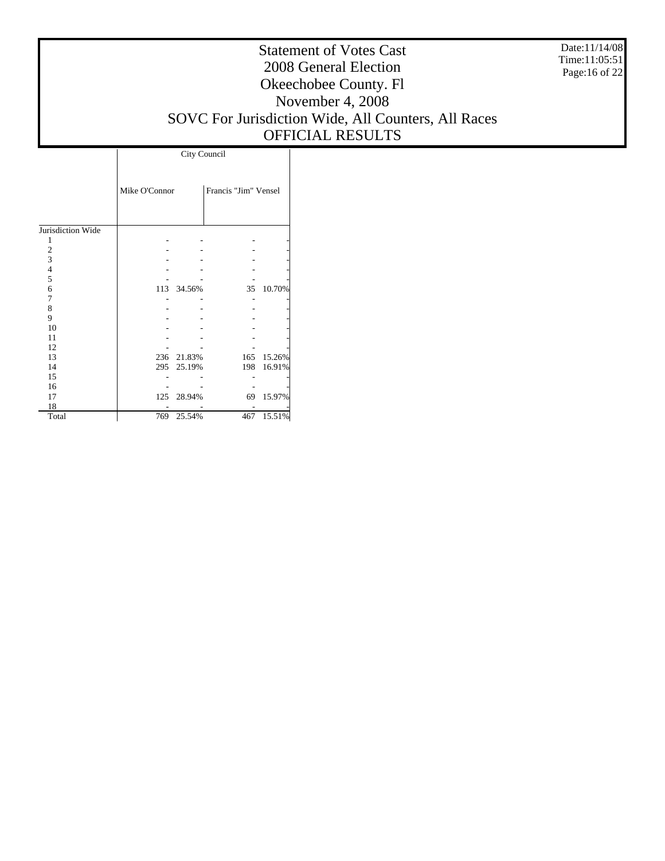Date:11/14/08 Time:11:05:51 Page:16 of 22

## Statement of Votes Cast 2008 General Election Okeechobee County. Fl November 4, 2008 SOVC For Jurisdiction Wide, All Counters, All Races OFFICIAL RESULTS

Τ

|                   | City Council  |            |                      |        |  |  |  |  |  |
|-------------------|---------------|------------|----------------------|--------|--|--|--|--|--|
|                   | Mike O'Connor |            | Francis "Jim" Vensel |        |  |  |  |  |  |
|                   |               |            |                      |        |  |  |  |  |  |
| Jurisdiction Wide |               |            |                      |        |  |  |  |  |  |
| 1                 |               |            |                      |        |  |  |  |  |  |
| $\overline{c}$    |               |            |                      |        |  |  |  |  |  |
| 3                 |               |            |                      |        |  |  |  |  |  |
| $\overline{4}$    |               |            |                      |        |  |  |  |  |  |
| 5                 |               |            |                      |        |  |  |  |  |  |
| 6                 | 113           | 34.56%     | 35                   | 10.70% |  |  |  |  |  |
| 7                 |               |            |                      |        |  |  |  |  |  |
| 8                 |               |            |                      |        |  |  |  |  |  |
| 9                 |               |            |                      |        |  |  |  |  |  |
| 10                |               |            |                      |        |  |  |  |  |  |
| 11                |               |            |                      |        |  |  |  |  |  |
| 12                |               |            |                      |        |  |  |  |  |  |
| 13                |               | 236 21.83% | 165                  | 15.26% |  |  |  |  |  |
| 14                | 295           | 25.19%     | 198                  | 16.91% |  |  |  |  |  |
| 15                |               |            |                      |        |  |  |  |  |  |
| 16                |               |            |                      |        |  |  |  |  |  |
| 17                | 125           | 28.94%     | 69                   | 15.97% |  |  |  |  |  |
| 18                |               |            |                      |        |  |  |  |  |  |
| Total             | 769           | 25.54%     | 467                  | 15.51% |  |  |  |  |  |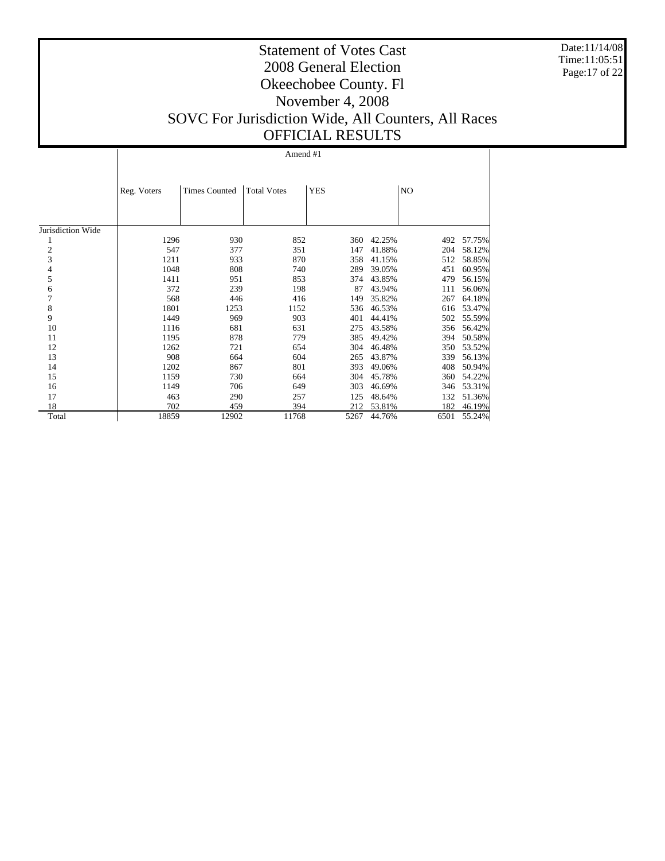Date:11/14/08 Time:11:05:51 Page:17 of 22

## Statement of Votes Cast 2008 General Election Okeechobee County. Fl November 4, 2008 SOVC For Jurisdiction Wide, All Counters, All Races OFFICIAL RESULTS

|                   | Reg. Voters | <b>Times Counted</b> | <b>Total Votes</b> | <b>YES</b> |        | NO   |        |
|-------------------|-------------|----------------------|--------------------|------------|--------|------|--------|
| Jurisdiction Wide |             |                      |                    |            |        |      |        |
|                   | 1296        | 930                  | 852                | 360        | 42.25% | 492  | 57.75% |
| $\boldsymbol{2}$  | 547         | 377                  | 351                | 147        | 41.88% | 204  | 58.12% |
| 3                 | 1211        | 933                  | 870                | 358        | 41.15% | 512  | 58.85% |
| 4                 | 1048        | 808                  | 740                | 289        | 39.05% | 451  | 60.95% |
| 5                 | 1411        | 951                  | 853                | 374        | 43.85% | 479  | 56.15% |
| 6                 | 372         | 239                  | 198                | 87         | 43.94% | 111  | 56.06% |
| 7                 | 568         | 446                  | 416                | 149        | 35.82% | 267  | 64.18% |
| 8                 | 1801        | 1253                 | 1152               | 536        | 46.53% | 616  | 53.47% |
| 9                 | 1449        | 969                  | 903                | 401        | 44.41% | 502  | 55.59% |
| 10                | 1116        | 681                  | 631                | 275        | 43.58% | 356  | 56.42% |
| 11                | 1195        | 878                  | 779                | 385        | 49.42% | 394  | 50.58% |
| 12                | 1262        | 721                  | 654                | 304        | 46.48% | 350  | 53.52% |
| 13                | 908         | 664                  | 604                | 265        | 43.87% | 339  | 56.13% |
| 14                | 1202        | 867                  | 801                | 393        | 49.06% | 408  | 50.94% |
| 15                | 1159        | 730                  | 664                | 304        | 45.78% | 360  | 54.22% |
| 16                | 1149        | 706                  | 649                | 303        | 46.69% | 346  | 53.31% |
| 17                | 463         | 290                  | 257                | 125        | 48.64% | 132  | 51.36% |
| 18                | 702         | 459                  | 394                | 212        | 53.81% | 182  | 46.19% |
| Total             | 18859       | 12902                | 11768              | 5267       | 44.76% | 6501 | 55.24% |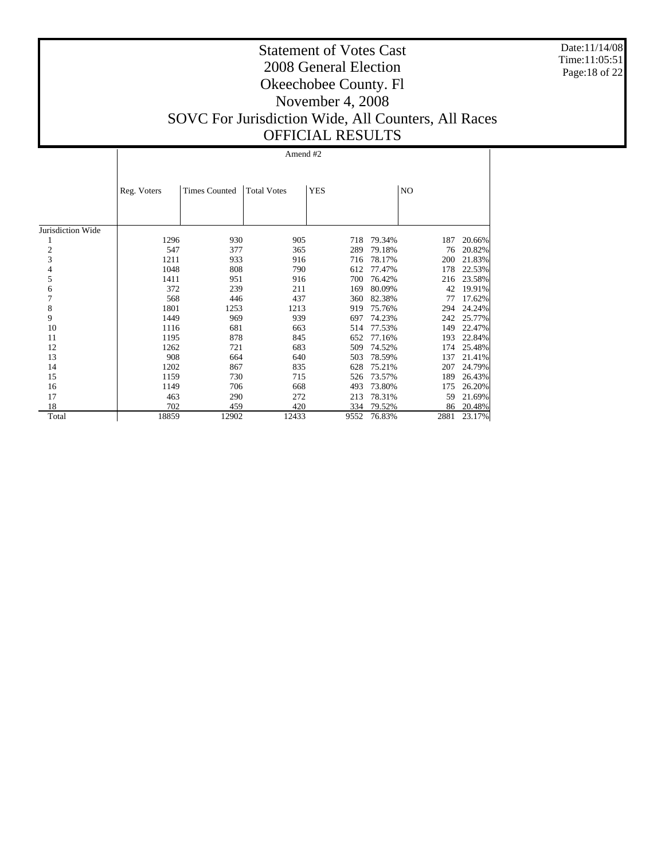Date:11/14/08 Time:11:05:51 Page:18 of 22

## Statement of Votes Cast 2008 General Election Okeechobee County. Fl November 4, 2008 SOVC For Jurisdiction Wide, All Counters, All Races OFFICIAL RESULTS

|                   | Reg. Voters | <b>Times Counted</b> | <b>Total Votes</b> | <b>YES</b> |        | N <sub>O</sub> |        |
|-------------------|-------------|----------------------|--------------------|------------|--------|----------------|--------|
|                   |             |                      |                    |            |        |                |        |
| Jurisdiction Wide |             |                      |                    |            |        |                |        |
|                   | 1296        | 930                  | 905                | 718        | 79.34% | 187            | 20.66% |
| $\overline{c}$    | 547         | 377                  | 365                | 289        | 79.18% | 76             | 20.82% |
| 3                 | 1211        | 933                  | 916                | 716        | 78.17% | 200            | 21.83% |
| 4                 | 1048        | 808                  | 790                | 612        | 77.47% | 178            | 22.53% |
| 5                 | 1411        | 951                  | 916                | 700        | 76.42% | 216            | 23.58% |
| 6                 | 372         | 239                  | 211                | 169        | 80.09% | 42             | 19.91% |
| 7                 | 568         | 446                  | 437                | 360        | 82.38% | 77             | 17.62% |
| 8                 | 1801        | 1253                 | 1213               | 919        | 75.76% | 294            | 24.24% |
| 9                 | 1449        | 969                  | 939                | 697        | 74.23% | 242            | 25.77% |
| 10                | 1116        | 681                  | 663                | 514        | 77.53% | 149            | 22.47% |
| 11                | 1195        | 878                  | 845                | 652        | 77.16% | 193            | 22.84% |
| 12                | 1262        | 721                  | 683                | 509        | 74.52% | 174            | 25.48% |
| 13                | 908         | 664                  | 640                | 503        | 78.59% | 137            | 21.41% |
| 14                | 1202        | 867                  | 835                | 628        | 75.21% | 207            | 24.79% |
| 15                | 1159        | 730                  | 715                | 526        | 73.57% | 189            | 26.43% |
| 16                | 1149        | 706                  | 668                | 493        | 73.80% | 175            | 26.20% |
| 17                | 463         | 290                  | 272                | 213        | 78.31% | 59             | 21.69% |
| 18                | 702         | 459                  | 420                | 334        | 79.52% | 86             | 20.48% |
| Total             | 18859       | 12902                | 12433              | 9552       | 76.83% | 2881           | 23.17% |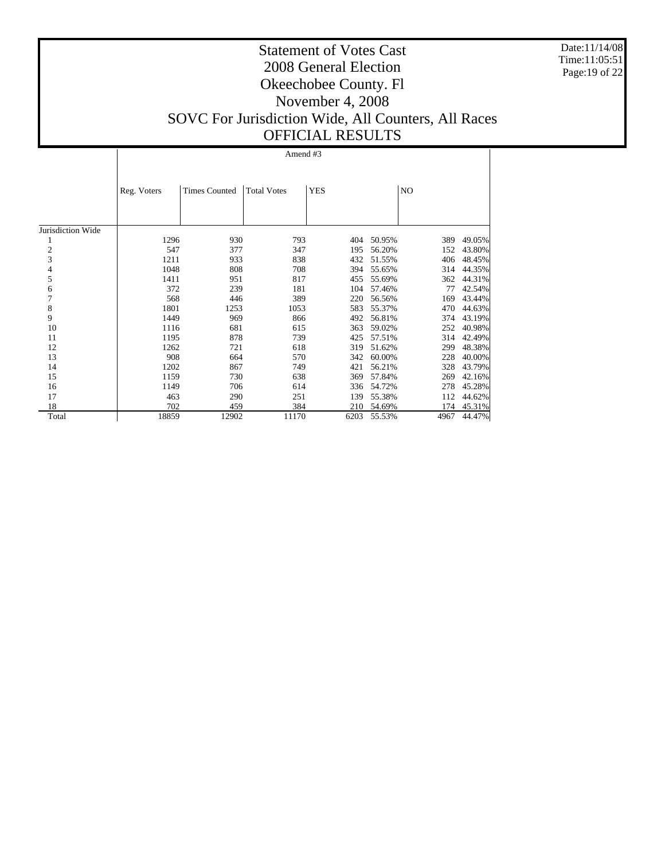Date:11/14/08 Time:11:05:51 Page:19 of 22

## Statement of Votes Cast 2008 General Election Okeechobee County. Fl November 4, 2008 SOVC For Jurisdiction Wide, All Counters, All Races OFFICIAL RESULTS

|                   | Reg. Voters | <b>Times Counted</b> | <b>Total Votes</b> | <b>YES</b> | NO     |      |        |
|-------------------|-------------|----------------------|--------------------|------------|--------|------|--------|
| Jurisdiction Wide |             |                      |                    |            |        |      |        |
|                   | 1296        | 930                  | 793                | 404        | 50.95% | 389  | 49.05% |
| $\boldsymbol{2}$  | 547         | 377                  | 347                | 195        | 56.20% | 152  | 43.80% |
| $\overline{3}$    | 1211        | 933                  | 838                | 432        | 51.55% | 406  | 48.45% |
| 4                 | 1048        | 808                  | 708                | 394        | 55.65% | 314  | 44.35% |
| 5                 | 1411        | 951                  | 817                | 455        | 55.69% | 362  | 44.31% |
| 6                 | 372         | 239                  | 181                | 104        | 57.46% | 77   | 42.54% |
| 7                 | 568         | 446                  | 389                | 220        | 56.56% | 169  | 43.44% |
| 8                 | 1801        | 1253                 | 1053               | 583        | 55.37% | 470  | 44.63% |
| 9                 | 1449        | 969                  | 866                | 492        | 56.81% | 374  | 43.19% |
| 10                | 1116        | 681                  | 615                | 363        | 59.02% | 252  | 40.98% |
| 11                | 1195        | 878                  | 739                | 425        | 57.51% | 314  | 42.49% |
| 12                | 1262        | 721                  | 618                | 319        | 51.62% | 299  | 48.38% |
| 13                | 908         | 664                  | 570                | 342        | 60.00% | 228  | 40.00% |
| 14                | 1202        | 867                  | 749                | 421        | 56.21% | 328  | 43.79% |
| 15                | 1159        | 730                  | 638                | 369        | 57.84% | 269  | 42.16% |
| 16                | 1149        | 706                  | 614                | 336        | 54.72% | 278  | 45.28% |
| 17                | 463         | 290                  | 251                | 139        | 55.38% | 112  | 44.62% |
| 18                | 702         | 459                  | 384                | 210        | 54.69% | 174  | 45.31% |
| Total             | 18859       | 12902                | 11170              | 6203       | 55.53% | 4967 | 44.47% |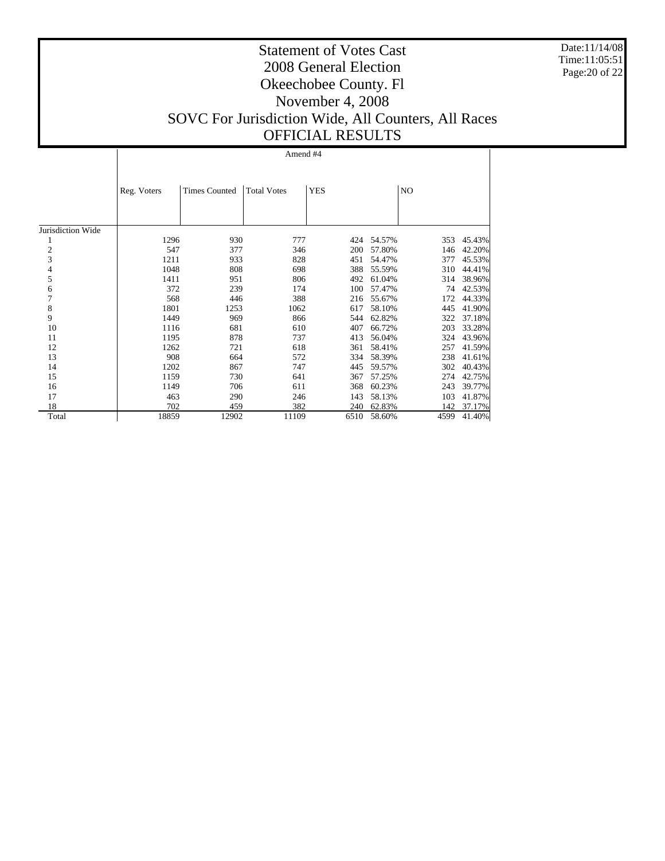Date:11/14/08 Time:11:05:51 Page:20 of 22

## Statement of Votes Cast 2008 General Election Okeechobee County. Fl November 4, 2008 SOVC For Jurisdiction Wide, All Counters, All Races OFFICIAL RESULTS

|                   | Reg. Voters | <b>Times Counted</b> | <b>Total Votes</b> | <b>YES</b> |        | NO   |        |
|-------------------|-------------|----------------------|--------------------|------------|--------|------|--------|
|                   |             |                      |                    |            |        |      |        |
| Jurisdiction Wide |             |                      |                    |            |        |      |        |
| 1                 | 1296        | 930                  | 777                | 424        | 54.57% | 353  | 45.43% |
| $\overline{c}$    | 547         | 377                  | 346                | 200        | 57.80% | 146  | 42.20% |
| 3                 | 1211        | 933                  | 828                | 451        | 54.47% | 377  | 45.53% |
| 4                 | 1048        | 808                  | 698                | 388        | 55.59% | 310  | 44.41% |
| 5                 | 1411        | 951                  | 806                | 492        | 61.04% | 314  | 38.96% |
| 6                 | 372         | 239                  | 174                | 100        | 57.47% | 74   | 42.53% |
| 7                 | 568         | 446                  | 388                | 216        | 55.67% | 172  | 44.33% |
| 8                 | 1801        | 1253                 | 1062               | 617        | 58.10% | 445  | 41.90% |
| 9                 | 1449        | 969                  | 866                | 544        | 62.82% | 322  | 37.18% |
| 10                | 1116        | 681                  | 610                | 407        | 66.72% | 203  | 33.28% |
| 11                | 1195        | 878                  | 737                | 413        | 56.04% | 324  | 43.96% |
| 12                | 1262        | 721                  | 618                | 361        | 58.41% | 257  | 41.59% |
| 13                | 908         | 664                  | 572                | 334        | 58.39% | 238  | 41.61% |
| 14                | 1202        | 867                  | 747                | 445        | 59.57% | 302  | 40.43% |
| 15                | 1159        | 730                  | 641                | 367        | 57.25% | 274  | 42.75% |
| 16                | 1149        | 706                  | 611                | 368        | 60.23% | 243  | 39.77% |
| 17                | 463         | 290                  | 246                | 143        | 58.13% | 103  | 41.87% |
| 18                | 702         | 459                  | 382                | 240        | 62.83% | 142  | 37.17% |
| Total             | 18859       | 12902                | 11109              | 6510       | 58.60% | 4599 | 41.40% |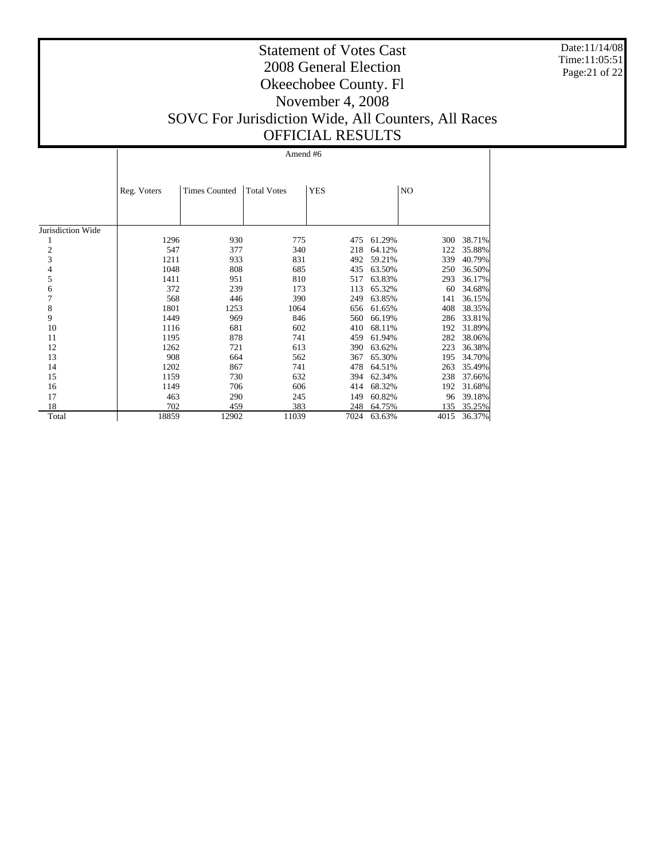Date:11/14/08 Time:11:05:51 Page:21 of 22

## Statement of Votes Cast 2008 General Election Okeechobee County. Fl November 4, 2008 SOVC For Jurisdiction Wide, All Counters, All Races OFFICIAL RESULTS

|                   | Reg. Voters | <b>Times Counted</b> | <b>Total Votes</b> | <b>YES</b> |        | NO   |        |
|-------------------|-------------|----------------------|--------------------|------------|--------|------|--------|
|                   |             |                      |                    |            |        |      |        |
| Jurisdiction Wide |             |                      |                    |            |        |      |        |
|                   | 1296        | 930                  | 775                | 475        | 61.29% | 300  | 38.71% |
| $\overline{c}$    | 547         | 377                  | 340                | 218        | 64.12% | 122  | 35.88% |
| 3                 | 1211        | 933                  | 831                | 492        | 59.21% | 339  | 40.79% |
| 4                 | 1048        | 808                  | 685                | 435        | 63.50% | 250  | 36.50% |
| 5                 | 1411        | 951                  | 810                | 517        | 63.83% | 293  | 36.17% |
| 6                 | 372         | 239                  | 173                | 113        | 65.32% | 60   | 34.68% |
| 7                 | 568         | 446                  | 390                | 249        | 63.85% | 141  | 36.15% |
| 8                 | 1801        | 1253                 | 1064               | 656        | 61.65% | 408  | 38.35% |
| 9                 | 1449        | 969                  | 846                | 560        | 66.19% | 286  | 33.81% |
| 10                | 1116        | 681                  | 602                | 410        | 68.11% | 192  | 31.89% |
| 11                | 1195        | 878                  | 741                | 459        | 61.94% | 282  | 38.06% |
| 12                | 1262        | 721                  | 613                | 390        | 63.62% | 223  | 36.38% |
| 13                | 908         | 664                  | 562                | 367        | 65.30% | 195  | 34.70% |
| 14                | 1202        | 867                  | 741                | 478        | 64.51% | 263  | 35.49% |
| 15                | 1159        | 730                  | 632                | 394        | 62.34% | 238  | 37.66% |
| 16                | 1149        | 706                  | 606                | 414        | 68.32% | 192  | 31.68% |
| 17                | 463         | 290                  | 245                | 149        | 60.82% | 96   | 39.18% |
| 18                | 702         | 459                  | 383                | 248        | 64.75% | 135  | 35.25% |
| Total             | 18859       | 12902                | 11039              | 7024       | 63.63% | 4015 | 36.37% |